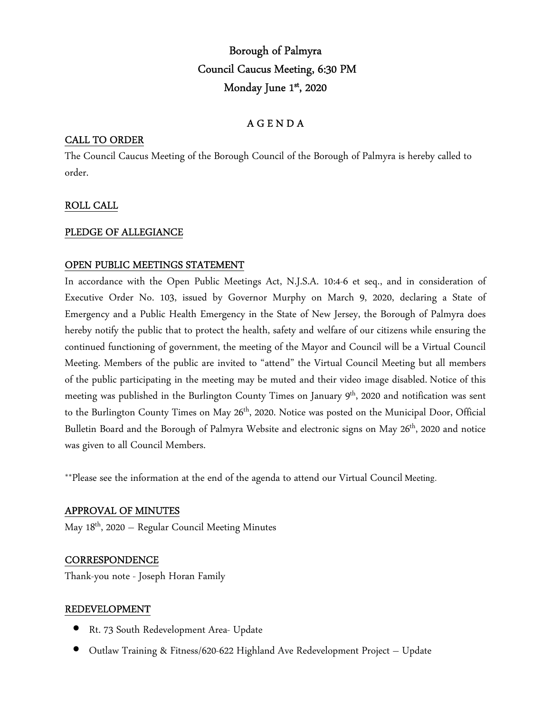# Borough of Palmyra Council Caucus Meeting, 6:30 PM Monday June 1st, 2020

## A G E N D A

### CALL TO ORDER

The Council Caucus Meeting of the Borough Council of the Borough of Palmyra is hereby called to order.

## ROLL CALL

## PLEDGE OF ALLEGIANCE

#### OPEN PUBLIC MEETINGS STATEMENT

In accordance with the Open Public Meetings Act, N.J.S.A. 10:4-6 et seq., and in consideration of Executive Order No. 103, issued by Governor Murphy on March 9, 2020, declaring a State of Emergency and a Public Health Emergency in the State of New Jersey, the Borough of Palmyra does hereby notify the public that to protect the health, safety and welfare of our citizens while ensuring the continued functioning of government, the meeting of the Mayor and Council will be a Virtual Council Meeting. Members of the public are invited to "attend" the Virtual Council Meeting but all members of the public participating in the meeting may be muted and their video image disabled. Notice of this meeting was published in the Burlington County Times on January 9<sup>th</sup>, 2020 and notification was sent to the Burlington County Times on May 26<sup>th</sup>, 2020. Notice was posted on the Municipal Door, Official Bulletin Board and the Borough of Palmyra Website and electronic signs on May 26<sup>th</sup>, 2020 and notice was given to all Council Members.

\*\*Please see the information at the end of the agenda to attend our Virtual Council Meeting.

## APPROVAL OF MINUTES

May  $18<sup>th</sup>$ , 2020 – Regular Council Meeting Minutes

#### **CORRESPONDENCE**

Thank-you note - Joseph Horan Family

#### REDEVELOPMENT

- Rt. 73 South Redevelopment Area- Update
- Outlaw Training & Fitness/620-622 Highland Ave Redevelopment Project Update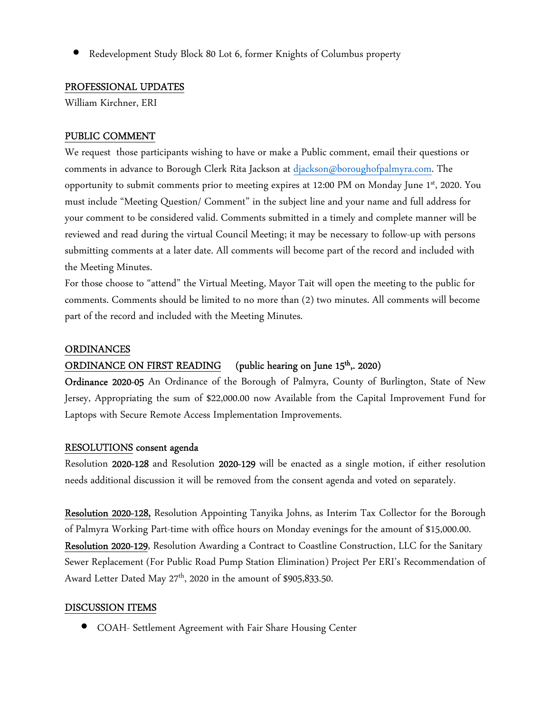• Redevelopment Study Block 80 Lot 6, former Knights of Columbus property

#### PROFESSIONAL UPDATES

William Kirchner, ERI

## PUBLIC COMMENT

We request those participants wishing to have or make a Public comment, email their questions or comments in advance to Borough Clerk Rita Jackson at djackson@boroughofpalmyra.com. The opportunity to submit comments prior to meeting expires at 12:00 PM on Monday June 1<sup>st</sup>, 2020. You must include "Meeting Question/ Comment" in the subject line and your name and full address for your comment to be considered valid. Comments submitted in a timely and complete manner will be reviewed and read during the virtual Council Meeting; it may be necessary to follow-up with persons submitting comments at a later date. All comments will become part of the record and included with the Meeting Minutes.

For those choose to "attend" the Virtual Meeting, Mayor Tait will open the meeting to the public for comments. Comments should be limited to no more than (2) two minutes. All comments will become part of the record and included with the Meeting Minutes.

#### ORDINANCES

## ORDINANCE ON FIRST READING (public hearing on June 15<sup>th</sup>,. 2020)

Ordinance 2020-05 An Ordinance of the Borough of Palmyra, County of Burlington, State of New Jersey, Appropriating the sum of \$22,000.00 now Available from the Capital Improvement Fund for Laptops with Secure Remote Access Implementation Improvements.

#### RESOLUTIONS consent agenda

Resolution 2020-128 and Resolution 2020-129 will be enacted as a single motion, if either resolution needs additional discussion it will be removed from the consent agenda and voted on separately.

Resolution 2020-128, Resolution Appointing Tanyika Johns, as Interim Tax Collector for the Borough of Palmyra Working Part-time with office hours on Monday evenings for the amount of \$15,000.00. Resolution 2020-129, Resolution Awarding a Contract to Coastline Construction, LLC for the Sanitary Sewer Replacement (For Public Road Pump Station Elimination) Project Per ERI's Recommendation of Award Letter Dated May 27<sup>th</sup>, 2020 in the amount of \$905,833.50.

#### DISCUSSION ITEMS

• COAH- Settlement Agreement with Fair Share Housing Center